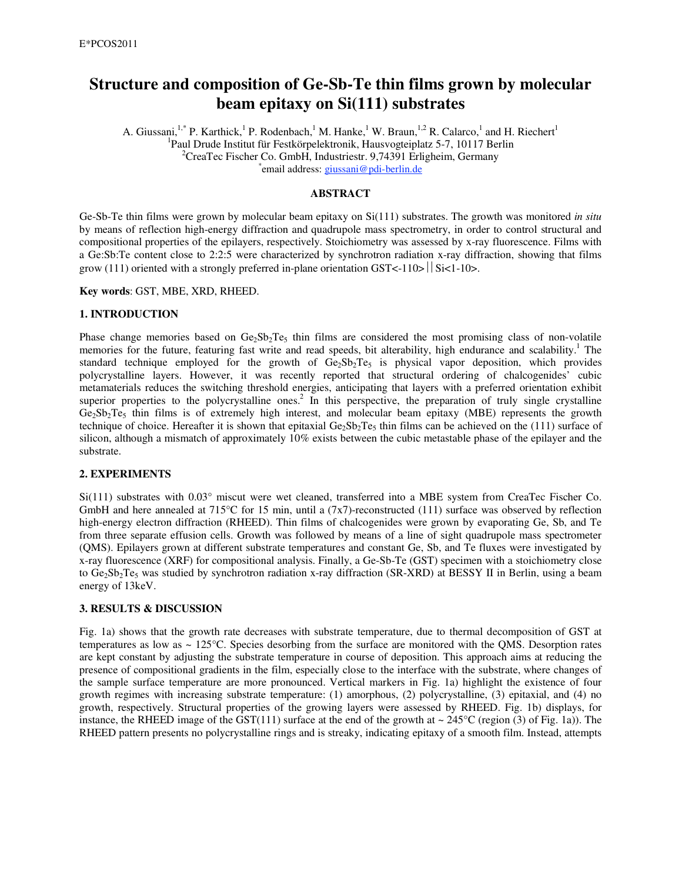# **Structure and composition of Ge-Sb-Te thin films grown by molecular beam epitaxy on Si(111) substrates**

A. Giussani,<sup>1,\*</sup> P. Karthick,<sup>1</sup> P. Rodenbach,<sup>1</sup> M. Hanke,<sup>1</sup> W. Braun,<sup>1,2</sup> R. Calarco,<sup>1</sup> and H. Riechert<sup>1</sup> <sup>1</sup>Paul Drude Institut für Festkörpelektronik, Hausvogteiplatz 5-7, 10117 Berlin <sup>2</sup>CreeTec Fischer Co. GmbH, Industriestr, 0, 74301 Frligheim, Germany  ${}^{2}$ CreaTec Fischer Co. GmbH, Industriestr. 9,74391 Erligheim, Germany email address: giussani@pdi-berlin.de

## **ABSTRACT**

Ge-Sb-Te thin films were grown by molecular beam epitaxy on Si(111) substrates. The growth was monitored *in situ* by means of reflection high-energy diffraction and quadrupole mass spectrometry, in order to control structural and compositional properties of the epilayers, respectively. Stoichiometry was assessed by x-ray fluorescence. Films with a Ge:Sb:Te content close to 2:2:5 were characterized by synchrotron radiation x-ray diffraction, showing that films grow (111) oriented with a strongly preferred in-plane orientation GST<-110>  $||$  Si<1-10>.

#### **Key words**: GST, MBE, XRD, RHEED.

#### **1. INTRODUCTION**

Phase change memories based on  $Ge_2Sb_2Te_5$  thin films are considered the most promising class of non-volatile memories for the future, featuring fast write and read speeds, bit alterability, high endurance and scalability.<sup>1</sup> The standard technique employed for the growth of  $Ge_2Sb_2Te_5$  is physical vapor deposition, which provides polycrystalline layers. However, it was recently reported that structural ordering of chalcogenides' cubic metamaterials reduces the switching threshold energies, anticipating that layers with a preferred orientation exhibit superior properties to the polycrystalline ones.<sup>2</sup> In this perspective, the preparation of truly single crystalline  $Ge_2Sb_2Te_5$  thin films is of extremely high interest, and molecular beam epitaxy (MBE) represents the growth technique of choice. Hereafter it is shown that epitaxial  $Ge_2Sb_2Te_5$  thin films can be achieved on the (111) surface of silicon, although a mismatch of approximately 10% exists between the cubic metastable phase of the epilayer and the substrate.

#### **2. EXPERIMENTS**

Si(111) substrates with 0.03° miscut were wet cleaned, transferred into a MBE system from CreaTec Fischer Co. GmbH and here annealed at 715°C for 15 min, until a (7x7)-reconstructed (111) surface was observed by reflection high-energy electron diffraction (RHEED). Thin films of chalcogenides were grown by evaporating Ge, Sb, and Te from three separate effusion cells. Growth was followed by means of a line of sight quadrupole mass spectrometer (QMS). Epilayers grown at different substrate temperatures and constant Ge, Sb, and Te fluxes were investigated by x-ray fluorescence (XRF) for compositional analysis. Finally, a Ge-Sb-Te (GST) specimen with a stoichiometry close to Ge<sub>2</sub>Sb<sub>2</sub>Te<sub>5</sub> was studied by synchrotron radiation x-ray diffraction (SR-XRD) at BESSY II in Berlin, using a beam energy of 13keV.

## **3. RESULTS & DISCUSSION**

Fig. 1a) shows that the growth rate decreases with substrate temperature, due to thermal decomposition of GST at temperatures as low as  $\sim 125^{\circ}$ C. Species desorbing from the surface are monitored with the QMS. Desorption rates are kept constant by adjusting the substrate temperature in course of deposition. This approach aims at reducing the presence of compositional gradients in the film, especially close to the interface with the substrate, where changes of the sample surface temperature are more pronounced. Vertical markers in Fig. 1a) highlight the existence of four growth regimes with increasing substrate temperature: (1) amorphous, (2) polycrystalline, (3) epitaxial, and (4) no growth, respectively. Structural properties of the growing layers were assessed by RHEED. Fig. 1b) displays, for instance, the RHEED image of the GST(111) surface at the end of the growth at  $\sim 245^{\circ}$ C (region (3) of Fig. 1a)). The RHEED pattern presents no polycrystalline rings and is streaky, indicating epitaxy of a smooth film. Instead, attempts